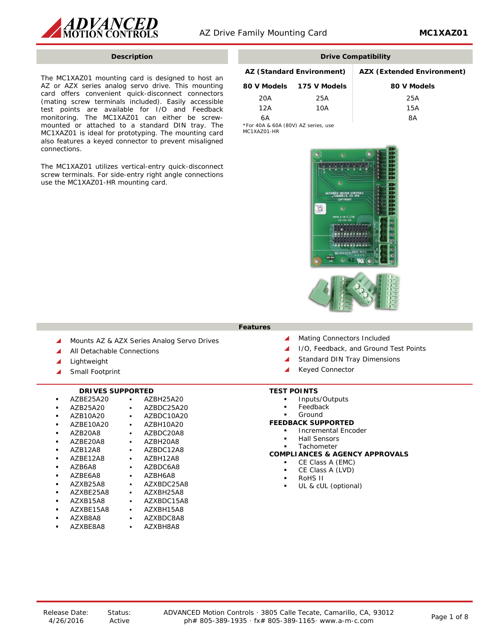

The MC1XAZ01 mounting card is designed to host an AZ or AZX series analog servo drive. This mounting card offers convenient quick-disconnect connectors (mating screw terminals included). Easily accessible test points are available for I/O and Feedback monitoring. The MC1XAZ01 can either be screwmounted or attached to a standard DIN tray. The MC1XAZ01 is ideal for prototyping. The mounting card also features a keyed connector to prevent misaligned connections.

The MC1XAZ01 utilizes vertical-entry quick-disconnect screw terminals. For side-entry right angle connections use the MC1XAZ01-HR mounting card.

# **Description Drive Compatibility**

# **AZ (Standard Environment) AZX (Extended Environment) 80 V Models 175 V Models 80 V Models**

|     | 80 V Models 175 V Models | 80 V Mo |
|-----|--------------------------|---------|
| 20A | 25A                      | 25A     |
| 12A | 10A                      | 15A     |
| 6А  |                          | 8А      |

\*For 40A & 60A (80V) AZ series, use MC1XAZ01-HR



**Features**

- Mounts AZ & AZX Series Analog Servo Drives
- All Detachable Connections
- ▲ Lightweight
- ▲ Small Footprint

### **DRIVES SUPPORTED**

- 
- AZBE25A20 AZBH25A20
- AZB25A20 AZBDC25A20
- AZBDC10A20<br>• AZBH10A20
	- AZBE10A20 •<br>AZB20A8 •
	- AZBDC20A8<br>▪ AZBH20A8
- AZBE20A8 AZBH20A8
- AZB12A8 AZBDC12A<br>AZBE12A8 AZBH12A8
- AZBE12A8 AZBH12A8
- AZBDC6A8<br>▪ AZBH6A8
- AZBE6A8 AZBH6A8 AZXB25A8 ▪ AZXBDC25A8
- 
- AZXBE25A8 · AZXBH25A8<br>AZXB15A8 · AZXBDC15A
- AZXBDC15A8<br>▪ AZXBH15A8
- AZXBE15A8<br>AZXB8A8
- AZXBDC8A8<br>▪ AZXBH8A8
- AZXBE8A8
- ▲ Mating Connectors Included
- ▲ I/O, Feedback, and Ground Test Points
- Standard DIN Tray Dimensions
- ▲ Keyed Connector

#### **TEST POINTS**

- Inputs/Outputs
- Feedback
- Ground

### **FEEDBACK SUPPORTED**

- Incremental Encoder
- Hall Sensors
- Tachometer

### **COMPLIANCES & AGENCY APPROVALS**

- CE Class A (EMC)
- CE Class A (LVD)
- RoHS II
- UL & cUL (optional)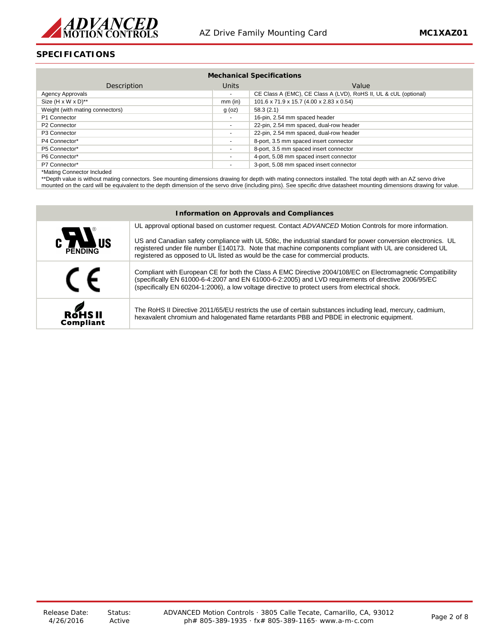

# **SPECIFICATIONS**

| <b>Mechanical Specifications</b> |                          |                                                                  |
|----------------------------------|--------------------------|------------------------------------------------------------------|
| Description                      | Units                    | Value                                                            |
| Agency Approvals                 | $\sim$                   | CE Class A (EMC), CE Class A (LVD), RoHS II, UL & cUL (optional) |
| Size $(H \times W \times D)$ **  | $mm$ (in)                | 101.6 x 71.9 x 15.7 (4.00 x 2.83 x 0.54)                         |
| Weight (with mating connectors)  | $g$ (oz)                 | 58.3(2.1)                                                        |
| P1 Connector                     | $\overline{\phantom{a}}$ | 16-pin, 2.54 mm spaced header                                    |
| P <sub>2</sub> Connector         | $\blacksquare$           | 22-pin, 2.54 mm spaced, dual-row header                          |
| P <sub>3</sub> Connector         | $\blacksquare$           | 22-pin, 2.54 mm spaced, dual-row header                          |
| P4 Connector*                    | $\blacksquare$           | 8-port, 3.5 mm spaced insert connector                           |
| P5 Connector*                    | ٠                        | 8-port, 3.5 mm spaced insert connector                           |
| P6 Connector*                    | $\blacksquare$           | 4-port, 5.08 mm spaced insert connector                          |
| P7 Connector*                    | $\blacksquare$           | 3-port, 5.08 mm spaced insert connector                          |
| *Mating Connector Included       |                          |                                                                  |

\*Mating Connector Included

\*\*Depth value is without mating connectors. See mounting dimensions drawing for depth with mating connectors installed. The total depth with an AZ servo drive mounted on the card will be equivalent to the depth dimension of the servo drive (including pins). See specific drive datasheet mounting dimensions drawing for value.

| <b>Information on Approvals and Compliances</b> |                                                                                                                                                                                                                                                                                                                      |  |
|-------------------------------------------------|----------------------------------------------------------------------------------------------------------------------------------------------------------------------------------------------------------------------------------------------------------------------------------------------------------------------|--|
|                                                 |                                                                                                                                                                                                                                                                                                                      |  |
|                                                 | UL approval optional based on customer request. Contact ADVANCED Motion Controls for more information.                                                                                                                                                                                                               |  |
| C<br>PENDING US                                 | US and Canadian safety compliance with UL 508c, the industrial standard for power conversion electronics. UL<br>registered under file number E140173. Note that machine components compliant with UL are considered UL                                                                                               |  |
|                                                 | registered as opposed to UL listed as would be the case for commercial products.                                                                                                                                                                                                                                     |  |
| $\epsilon$                                      | Compliant with European CE for both the Class A EMC Directive 2004/108/EC on Electromagnetic Compatibility<br>(specifically EN 61000-6-4:2007 and EN 61000-6-2:2005) and LVD requirements of directive 2006/95/EC<br>(specifically EN 60204-1:2006), a low voltage directive to protect users from electrical shock. |  |
| <b>ROHSII</b><br><b>Compliant</b>               | The RoHS II Directive 2011/65/EU restricts the use of certain substances including lead, mercury, cadmium,<br>hexavalent chromium and halogenated flame retardants PBB and PBDE in electronic equipment.                                                                                                             |  |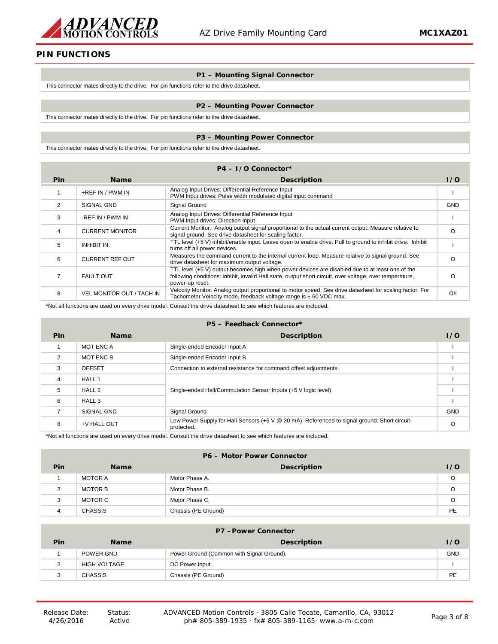

# **PIN FUNCTIONS**

#### **P1 – Mounting Signal Connector**

This connector mates directly to the drive. For pin functions refer to the drive datasheet.

#### **P2 – Mounting Power Connector**

This connector mates directly to the drive. For pin functions refer to the drive datasheet.

#### **P3 – Mounting Power Connector**

This connector mates directly to the drive. For pin functions refer to the drive datasheet.

| $P4 - I/O$ Connector* |                                  |                                                                                                                                                                                                                                |            |
|-----------------------|----------------------------------|--------------------------------------------------------------------------------------------------------------------------------------------------------------------------------------------------------------------------------|------------|
| <b>Pin</b>            | <b>Name</b>                      | <b>Description</b>                                                                                                                                                                                                             | 1/0        |
|                       | +REF IN / PWM IN                 | Analog Input Drives: Differential Reference Input<br>PWM Input drives: Pulse width modulated digital input command                                                                                                             |            |
| 2                     | SIGNAL GND                       | Signal Ground                                                                                                                                                                                                                  | <b>GND</b> |
| 3                     | -REF IN / PWM IN                 | Analog Input Drives: Differential Reference Input<br>PWM Input drives: Direction Input                                                                                                                                         |            |
| 4                     | <b>CURRENT MONITOR</b>           | Current Monitor. Analog output signal proportional to the actual current output. Measure relative to<br>signal ground. See drive datasheet for scaling factor.                                                                 | $\circ$    |
| 5                     | <b>INHIBIT IN</b>                | TTL level (+5 V) inhibit/enable input. Leave open to enable drive. Pull to ground to inhibit drive. Inhibit<br>turns off all power devices.                                                                                    |            |
| 6                     | <b>CURRENT REF OUT</b>           | Measures the command current to the internal current-loop. Measure relative to signal ground. See<br>drive datasheet for maximum output voltage.                                                                               | O          |
|                       | <b>FAULT OUT</b>                 | TTL level (+5 V) output becomes high when power devices are disabled due to at least one of the<br>following conditions: inhibit, invalid Hall state, output short circuit, over voltage, over temperature,<br>power-up reset. | $\circ$    |
| 8                     | <b>VEL MONITOR OUT / TACH IN</b> | Velocity Monitor. Analog output proportional to motor speed. See drive datasheet for scaling factor. For<br>Tachometer Velocity mode, feedback voltage range is ± 60 VDC max.                                                  | O/I        |

\*Not all functions are used on every drive model. Consult the drive datasheet to see which features are included.

#### **P5 – Feedback Connector\***

| Pin | <b>Name</b>       | <b>Description</b>                                                                                         | 1/0        |
|-----|-------------------|------------------------------------------------------------------------------------------------------------|------------|
|     | MOT ENC A         | Single-ended Encoder Input A                                                                               |            |
| 2   | MOT ENC B         | Single-ended Encoder Input B                                                                               |            |
| 3   | <b>OFFSET</b>     | Connection to external resistance for command offset adjustments.                                          |            |
| 4   | HALL 1            |                                                                                                            |            |
| 5   | HALL <sub>2</sub> | Single-ended Hall/Commutation Sensor Inputs (+5 V logic level)                                             |            |
| 6   | HALL 3            |                                                                                                            |            |
| 7   | SIGNAL GND        | Signal Ground                                                                                              | <b>GND</b> |
| 8   | +V HALL OUT       | Low Power Supply for Hall Sensors (+6 V @ 30 mA). Referenced to signal ground. Short circuit<br>protected. | $\Omega$   |

\*Not all functions are used on every drive model. Consult the drive datasheet to see which features are included.

# **P6 – Motor Power Connector Pin Name Description I/O** 1 MOTOR A MOTOR A Motor Phase A. 2 MOTOR B Motor Phase B. COMPOSE AND RESERVE BEING A SERVER AND RESERVE BEING A SERVER AND RESERVE BEING A SERVER AND RESERVE BEING A SERVER AND RESERVE BEING A SERVER AND RESERVE BEING A SERVER AND RESERVE BEING A SERVER 3 MOTOR C Motor Phase C. 4 CHASSIS Chassis (PE Ground) PE

| <b>P7-Power Connector</b> |                |                                           |            |
|---------------------------|----------------|-------------------------------------------|------------|
| Pin                       | <b>Name</b>    | <b>Description</b>                        | 1/0        |
|                           | POWER GND      | Power Ground (Common with Signal Ground). | <b>GND</b> |
| າ                         | HIGH VOLTAGE   | DC Power Input.                           |            |
| 3                         | <b>CHASSIS</b> | Chassis (PE Ground)                       | PE         |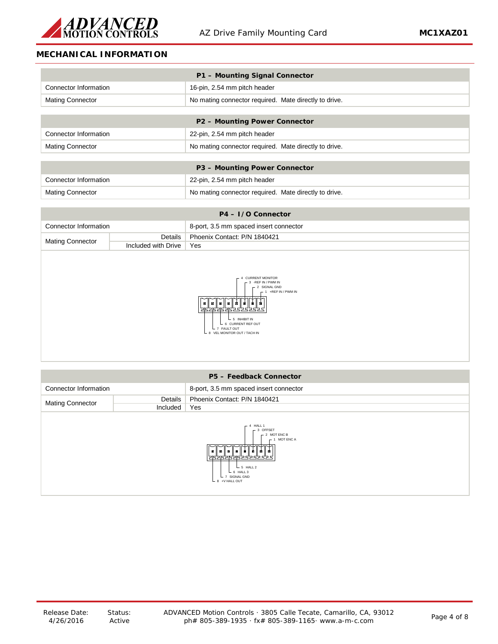

# **MECHANICAL INFORMATION**

| P1 - Mounting Signal Connector |                                                       |  |
|--------------------------------|-------------------------------------------------------|--|
| Connector Information          | 16-pin, 2.54 mm pitch header                          |  |
| <b>Mating Connector</b>        | No mating connector required. Mate directly to drive. |  |
|                                |                                                       |  |
|                                | P2 - Mounting Power Connector                         |  |
| Connector Information          | 22-pin, 2.54 mm pitch header                          |  |
| <b>Mating Connector</b>        | No mating connector required. Mate directly to drive. |  |
|                                |                                                       |  |
| P3 - Mounting Power Connector  |                                                       |  |
| Connector Information          | 22-pin, 2.54 mm pitch header                          |  |

| $P4 - I/O$ Connector    |                     |                                        |  |
|-------------------------|---------------------|----------------------------------------|--|
| Connector Information   |                     | 8-port, 3.5 mm spaced insert connector |  |
| <b>Mating Connector</b> | Details             | Phoenix Contact: P/N 1840421           |  |
|                         | Included with Drive | Yes                                    |  |
|                         |                     |                                        |  |
|                         |                     |                                        |  |

Mating Connector **No mating connector required.** Mate directly to drive.



| P5 - Feedback Connector                                                                                                                             |          |                                        |  |
|-----------------------------------------------------------------------------------------------------------------------------------------------------|----------|----------------------------------------|--|
| Connector Information                                                                                                                               |          | 8-port, 3.5 mm spaced insert connector |  |
|                                                                                                                                                     | Details  | Phoenix Contact: P/N 1840421           |  |
| Mating Connector                                                                                                                                    | Included | Yes                                    |  |
| $-4$ HALL 1<br>$-3$ OFFSET<br>$-2$ MOT ENC B<br>$-1$ MOT ENC A<br>121515151515252525<br>$-5$ HALL 2<br>$-6$ HALL 3<br>7 SIGNAL GND<br>8 +V HALL OUT |          |                                        |  |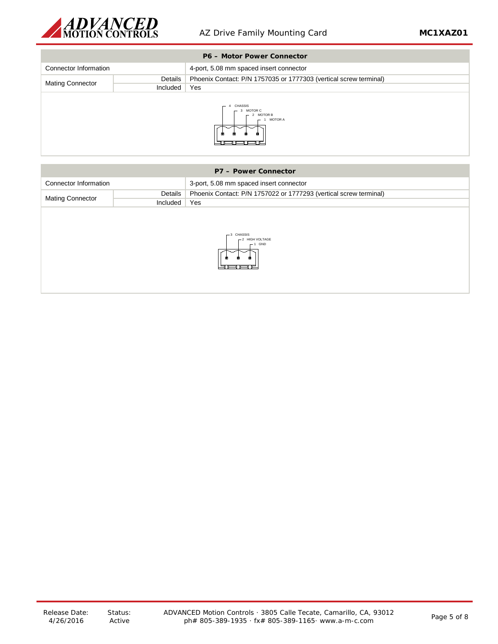

| <b>P6 - Motor Power Connector</b>                          |          |                                                                   |
|------------------------------------------------------------|----------|-------------------------------------------------------------------|
| Connector Information                                      |          | 4-port, 5.08 mm spaced insert connector                           |
|                                                            | Details  | Phoenix Contact: P/N 1757035 or 1777303 (vertical screw terminal) |
| <b>Mating Connector</b>                                    | Included | Yes                                                               |
| <b>CHASSIS</b><br>3 MOTOR C<br><b>MOTOR B</b><br>1 MOTOR A |          |                                                                   |

| P7 - Power Connector                        |          |                                                                   |
|---------------------------------------------|----------|-------------------------------------------------------------------|
| Connector Information                       |          | 3-port, 5.08 mm spaced insert connector                           |
|                                             | Details  | Phoenix Contact: P/N 1757022 or 1777293 (vertical screw terminal) |
| <b>Mating Connector</b>                     | Included | Yes                                                               |
| $-3$ CHASSIS<br>-2 HIGH VOLTAGE<br>$-1$ GND |          |                                                                   |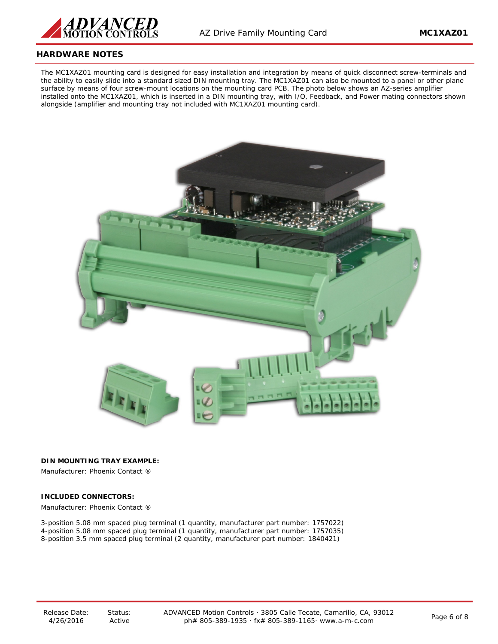

## **HARDWARE NOTES**

The MC1XAZ01 mounting card is designed for easy installation and integration by means of quick disconnect screw-terminals and the ability to easily slide into a standard sized DIN mounting tray. The MC1XAZ01 can also be mounted to a panel or other plane surface by means of four screw-mount locations on the mounting card PCB. The photo below shows an AZ-series amplifier installed onto the MC1XAZ01, which is inserted in a DIN mounting tray, with I/O, Feedback, and Power mating connectors shown alongside (amplifier and mounting tray not included with MC1XAZ01 mounting card).



**DIN MOUNTING TRAY EXAMPLE:**

Manufacturer: Phoenix Contact ®

### **INCLUDED CONNECTORS:**

Manufacturer: Phoenix Contact ®

3-position 5.08 mm spaced plug terminal (1 quantity, manufacturer part number: 1757022) 4-position 5.08 mm spaced plug terminal (1 quantity, manufacturer part number: 1757035) 8-position 3.5 mm spaced plug terminal (2 quantity, manufacturer part number: 1840421)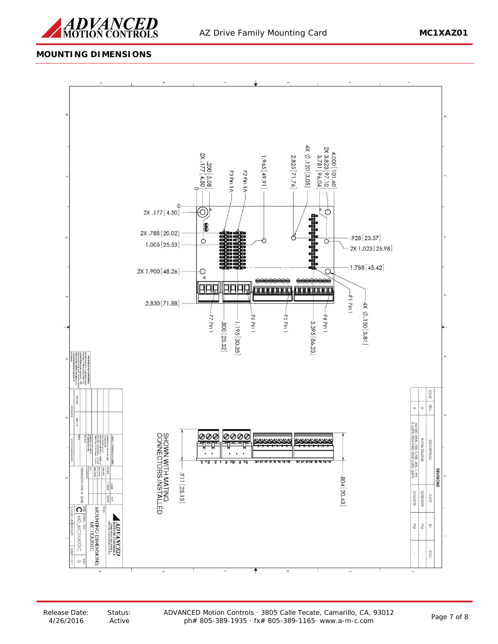

# **MOUNTING DIMENSIONS**